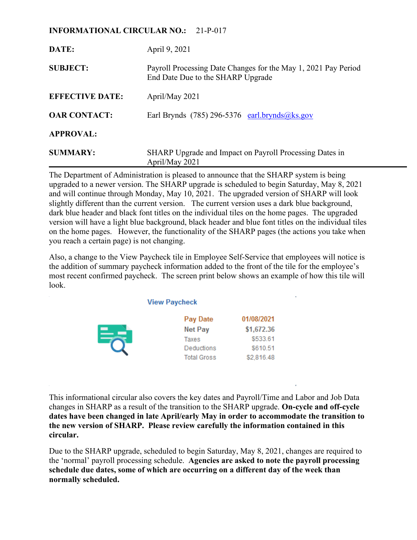# **INFORMATIONAL CIRCULAR NO.:** 21-P-017

| DATE:                  | April 9, 2021                                                                                       |
|------------------------|-----------------------------------------------------------------------------------------------------|
| <b>SUBJECT:</b>        | Payroll Processing Date Changes for the May 1, 2021 Pay Period<br>End Date Due to the SHARP Upgrade |
| <b>EFFECTIVE DATE:</b> | April/May 2021                                                                                      |
| <b>OAR CONTACT:</b>    | Earl Brynds (785) 296-5376 earl.brynds@ks.gov                                                       |
| <b>APPROVAL:</b>       |                                                                                                     |
| <b>SUMMARY:</b>        | SHARP Upgrade and Impact on Payroll Processing Dates in<br>April/May 2021                           |

The Department of Administration is pleased to announce that the SHARP system is being upgraded to a newer version. The SHARP upgrade is scheduled to begin Saturday, May 8, 2021 and will continue through Monday, May 10, 2021. The upgraded version of SHARP will look slightly different than the current version. The current version uses a dark blue background, dark blue header and black font titles on the individual tiles on the home pages. The upgraded version will have a light blue background, black header and blue font titles on the individual tiles on the home pages. However, the functionality of the SHARP pages (the actions you take when you reach a certain page) is not changing.

Also, a change to the View Paycheck tile in Employee Self-Service that employees will notice is the addition of summary paycheck information added to the front of the tile for the employee's most recent confirmed paycheck. The screen print below shows an example of how this tile will look.

**View Paycheck** 

| Pay Date           | 01/08/2021 |
|--------------------|------------|
| Net Pay            | \$1,672.36 |
| Taxes              | \$533.61   |
| Deductions         | \$610.51   |
| <b>Total Gross</b> | \$2,816.48 |

This informational circular also covers the key dates and Payroll/Time and Labor and Job Data changes in SHARP as a result of the transition to the SHARP upgrade. **On-cycle and off-cycle dates have been changed in late April/early May in order to accommodate the transition to the new version of SHARP. Please review carefully the information contained in this circular.**

Due to the SHARP upgrade, scheduled to begin Saturday, May 8, 2021, changes are required to the 'normal' payroll processing schedule. **Agencies are asked to note the payroll processing schedule due dates, some of which are occurring on a different day of the week than normally scheduled.**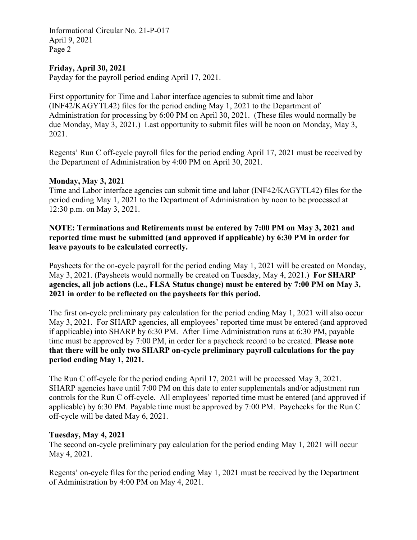Informational Circular No. 21-P-017 April 9, 2021 Page 2

## **Friday, April 30, 2021**

Payday for the payroll period ending April 17, 2021.

First opportunity for Time and Labor interface agencies to submit time and labor (INF42/KAGYTL42) files for the period ending May 1, 2021 to the Department of Administration for processing by 6:00 PM on April 30, 2021. (These files would normally be due Monday, May 3, 2021.) Last opportunity to submit files will be noon on Monday, May 3, 2021.

Regents' Run C off-cycle payroll files for the period ending April 17, 2021 must be received by the Department of Administration by 4:00 PM on April 30, 2021.

#### **Monday, May 3, 2021**

Time and Labor interface agencies can submit time and labor (INF42/KAGYTL42) files for the period ending May 1, 2021 to the Department of Administration by noon to be processed at 12:30 p.m. on May 3, 2021.

# **NOTE: Terminations and Retirements must be entered by 7:00 PM on May 3, 2021 and reported time must be submitted (and approved if applicable) by 6:30 PM in order for leave payouts to be calculated correctly.**

Paysheets for the on-cycle payroll for the period ending May 1, 2021 will be created on Monday, May 3, 2021. (Paysheets would normally be created on Tuesday, May 4, 2021.) **For SHARP agencies, all job actions (i.e., FLSA Status change) must be entered by 7:00 PM on May 3, 2021 in order to be reflected on the paysheets for this period.** 

The first on-cycle preliminary pay calculation for the period ending May 1, 2021 will also occur May 3, 2021. For SHARP agencies, all employees' reported time must be entered (and approved if applicable) into SHARP by 6:30 PM. After Time Administration runs at 6:30 PM, payable time must be approved by 7:00 PM, in order for a paycheck record to be created. **Please note that there will be only two SHARP on-cycle preliminary payroll calculations for the pay period ending May 1, 2021.**

The Run C off-cycle for the period ending April 17, 2021 will be processed May 3, 2021. SHARP agencies have until 7:00 PM on this date to enter supplementals and/or adjustment run controls for the Run C off-cycle. All employees' reported time must be entered (and approved if applicable) by 6:30 PM. Payable time must be approved by 7:00 PM. Paychecks for the Run C off-cycle will be dated May 6, 2021.

#### **Tuesday, May 4, 2021**

The second on-cycle preliminary pay calculation for the period ending May 1, 2021 will occur May 4, 2021.

Regents' on-cycle files for the period ending May 1, 2021 must be received by the Department of Administration by 4:00 PM on May 4, 2021.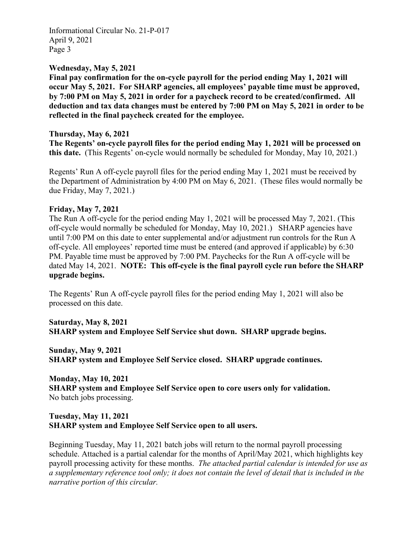Informational Circular No. 21-P-017 April 9, 2021 Page 3

## **Wednesday, May 5, 2021**

**Final pay confirmation for the on-cycle payroll for the period ending May 1, 2021 will occur May 5, 2021. For SHARP agencies, all employees' payable time must be approved, by 7:00 PM on May 5, 2021 in order for a paycheck record to be created/confirmed. All deduction and tax data changes must be entered by 7:00 PM on May 5, 2021 in order to be reflected in the final paycheck created for the employee.**

## **Thursday, May 6, 2021**

**The Regents' on-cycle payroll files for the period ending May 1, 2021 will be processed on this date.** (This Regents' on-cycle would normally be scheduled for Monday, May 10, 2021.)

Regents' Run A off-cycle payroll files for the period ending May 1, 2021 must be received by the Department of Administration by 4:00 PM on May 6, 2021. (These files would normally be due Friday, May 7, 2021.)

### **Friday, May 7, 2021**

The Run A off-cycle for the period ending May 1, 2021 will be processed May 7, 2021. (This off-cycle would normally be scheduled for Monday, May 10, 2021.) SHARP agencies have until 7:00 PM on this date to enter supplemental and/or adjustment run controls for the Run A off-cycle. All employees' reported time must be entered (and approved if applicable) by 6:30 PM. Payable time must be approved by 7:00 PM. Paychecks for the Run A off-cycle will be dated May 14, 2021. **NOTE: This off-cycle is the final payroll cycle run before the SHARP upgrade begins.**

The Regents' Run A off-cycle payroll files for the period ending May 1, 2021 will also be processed on this date.

**Saturday, May 8, 2021 SHARP system and Employee Self Service shut down. SHARP upgrade begins.**

**Sunday, May 9, 2021 SHARP system and Employee Self Service closed. SHARP upgrade continues.**

**Monday, May 10, 2021 SHARP system and Employee Self Service open to core users only for validation.**  No batch jobs processing.

# **Tuesday, May 11, 2021 SHARP system and Employee Self Service open to all users.**

Beginning Tuesday, May 11, 2021 batch jobs will return to the normal payroll processing schedule. Attached is a partial calendar for the months of April/May 2021, which highlights key payroll processing activity for these months. *The attached partial calendar is intended for use as a supplementary reference tool only; it does not contain the level of detail that is included in the narrative portion of this circular.*